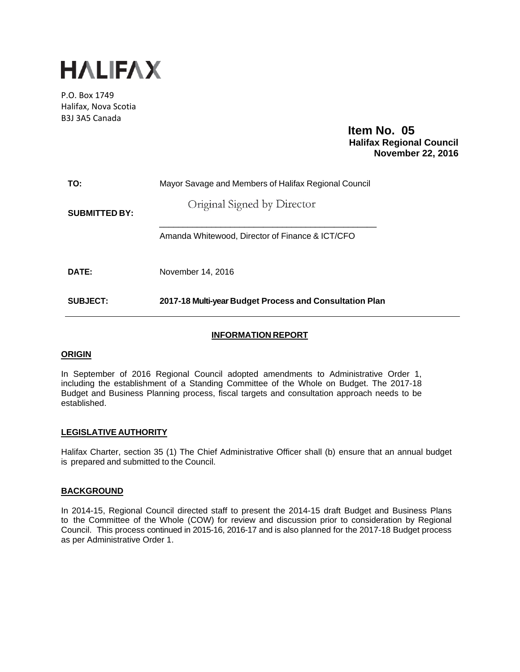

P.O. Box 1749 Halifax, Nova Scotia B3J 3A5 Canada

> **Item No. 05 Halifax Regional Council November 22, 2016**

| TO:                  | Mayor Savage and Members of Halifax Regional Council    |  |  |
|----------------------|---------------------------------------------------------|--|--|
| <b>SUBMITTED BY:</b> | Original Signed by Director                             |  |  |
|                      | Amanda Whitewood. Director of Finance & ICT/CFO         |  |  |
| DATE:                | November 14, 2016                                       |  |  |
| SUBJECT:             | 2017-18 Multi-year Budget Process and Consultation Plan |  |  |

# **INFORMATION REPORT**

# **ORIGIN**

In September of 2016 Regional Council adopted amendments to Administrative Order 1, including the establishment of a Standing Committee of the Whole on Budget. The 2017-18 Budget and Business Planning process, fiscal targets and consultation approach needs to be established.

## **LEGISLATIVE AUTHORITY**

Halifax Charter, section 35 (1) The Chief Administrative Officer shall (b) ensure that an annual budget is prepared and submitted to the Council.

## **BACKGROUND**

In 2014-15, Regional Council directed staff to present the 2014-15 draft Budget and Business Plans to the Committee of the Whole (COW) for review and discussion prior to consideration by Regional Council. This process continued in 2015-16, 2016-17 and is also planned for the 2017-18 Budget process as per Administrative Order 1.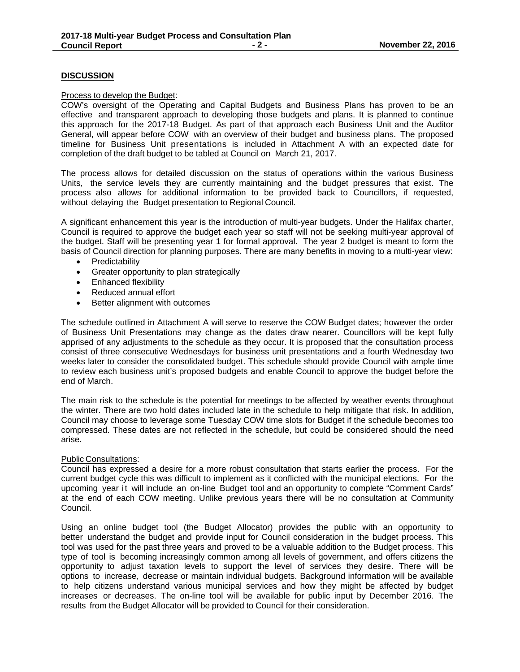# **DISCUSSION**

#### Process to develop the Budget:

COW's oversight of the Operating and Capital Budgets and Business Plans has proven to be an effective and transparent approach to developing those budgets and plans. It is planned to continue this approach for the 2017-18 Budget. As part of that approach each Business Unit and the Auditor General, will appear before COW with an overview of their budget and business plans. The proposed timeline for Business Unit presentations is included in Attachment A with an expected date for completion of the draft budget to be tabled at Council on March 21, 2017.

The process allows for detailed discussion on the status of operations within the various Business Units, the service levels they are currently maintaining and the budget pressures that exist. The process also allows for additional information to be provided back to Councillors, if requested, without delaying the Budget presentation to Regional Council.

A significant enhancement this year is the introduction of multi-year budgets. Under the Halifax charter, Council is required to approve the budget each year so staff will not be seeking multi-year approval of the budget. Staff will be presenting year 1 for formal approval. The year 2 budget is meant to form the basis of Council direction for planning purposes. There are many benefits in moving to a multi-year view:

- Predictability
- Greater opportunity to plan strategically
- **•** Enhanced flexibility
- Reduced annual effort
- Better alignment with outcomes

The schedule outlined in Attachment A will serve to reserve the COW Budget dates; however the order of Business Unit Presentations may change as the dates draw nearer. Councillors will be kept fully apprised of any adjustments to the schedule as they occur. It is proposed that the consultation process consist of three consecutive Wednesdays for business unit presentations and a fourth Wednesday two weeks later to consider the consolidated budget. This schedule should provide Council with ample time to review each business unit's proposed budgets and enable Council to approve the budget before the end of March.

The main risk to the schedule is the potential for meetings to be affected by weather events throughout the winter. There are two hold dates included late in the schedule to help mitigate that risk. In addition, Council may choose to leverage some Tuesday COW time slots for Budget if the schedule becomes too compressed. These dates are not reflected in the schedule, but could be considered should the need arise.

## Public Consultations:

Council has expressed a desire for a more robust consultation that starts earlier the process. For the current budget cycle this was difficult to implement as it conflicted with the municipal elections. For the upcoming year it will include an on-line Budget tool and an opportunity to complete "Comment Cards" at the end of each COW meeting. Unlike previous years there will be no consultation at Community Council.

Using an online budget tool (the Budget Allocator) provides the public with an opportunity to better understand the budget and provide input for Council consideration in the budget process. This tool was used for the past three years and proved to be a valuable addition to the Budget process. This type of tool is becoming increasingly common among all levels of government, and offers citizens the opportunity to adjust taxation levels to support the level of services they desire. There will be options to increase, decrease or maintain individual budgets. Background information will be available to help citizens understand various municipal services and how they might be affected by budget increases or decreases. The on-line tool will be available for public input by December 2016. The results from the Budget Allocator will be provided to Council for their consideration.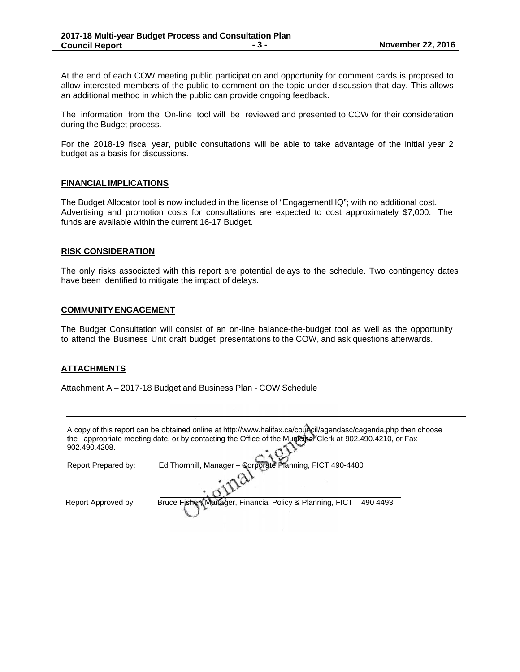At the end of each COW meeting public participation and opportunity for comment cards is proposed to allow interested members of the public to comment on the topic under discussion that day. This allows an additional method in which the public can provide ongoing feedback.

The information from the On-line tool will be reviewed and presented to COW for their consideration during the Budget process.

For the 2018-19 fiscal year, public consultations will be able to take advantage of the initial year 2 budget as a basis for discussions.

#### **FINANCIAL IMPLICATIONS**

The Budget Allocator tool is now included in the license of "EngagementHQ"; with no additional cost. Advertising and promotion costs for consultations are expected to cost approximately \$7,000. The funds are available within the current 16-17 Budget.

#### **RISK CONSIDERATION**

The only risks associated with this report are potential delays to the schedule. Two contingency dates have been identified to mitigate the impact of delays.

#### **COMMUNITY ENGAGEMENT**

The Budget Consultation will consist of an on-line balance-the-budget tool as well as the opportunity to attend the Business Unit draft budget presentations to the COW, and ask questions afterwards.

# **ATTACHMENTS**

Attachment A – 2017-18 Budget and Business Plan - COW Schedule

| A copy of this report can be obtained online at http://www.halifax.ca/council/agendasc/cagenda.php then choose<br>the appropriate meeting date, or by contacting the Office of the Municipal Clerk at 902.490.4210, or Fax<br>902.490.4208. |                                                                      |  |
|---------------------------------------------------------------------------------------------------------------------------------------------------------------------------------------------------------------------------------------------|----------------------------------------------------------------------|--|
| Report Prepared by:                                                                                                                                                                                                                         | Ed Thornhill, Manager - Corporate Planning, FICT 490-4480            |  |
|                                                                                                                                                                                                                                             |                                                                      |  |
| Report Approved by:                                                                                                                                                                                                                         | Bruce Fisher, Manager, Financial Policy & Planning, FICT<br>490 4493 |  |
|                                                                                                                                                                                                                                             |                                                                      |  |